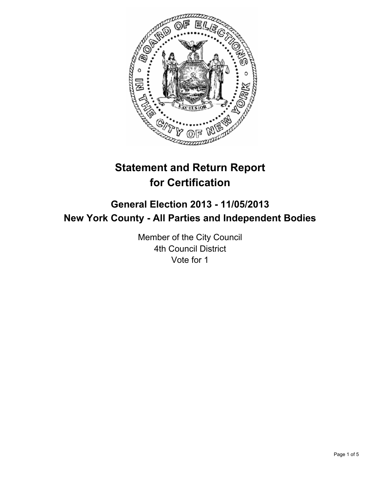

# **Statement and Return Report for Certification**

## **General Election 2013 - 11/05/2013 New York County - All Parties and Independent Bodies**

Member of the City Council 4th Council District Vote for 1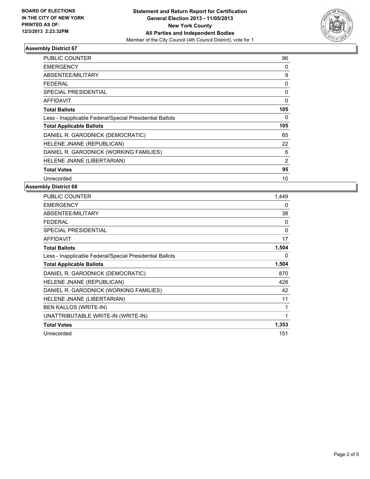

#### **Assembly District 67**

| <b>PUBLIC COUNTER</b>                                    | 96  |
|----------------------------------------------------------|-----|
| <b>EMERGENCY</b>                                         | 0   |
| ABSENTEE/MILITARY                                        | 9   |
| <b>FEDERAL</b>                                           | 0   |
| <b>SPECIAL PRESIDENTIAL</b>                              | 0   |
| AFFIDAVIT                                                | 0   |
| <b>Total Ballots</b>                                     | 105 |
| Less - Inapplicable Federal/Special Presidential Ballots | 0   |
| <b>Total Applicable Ballots</b>                          | 105 |
| DANIEL R. GARODNICK (DEMOCRATIC)                         | 65  |
| HELENE JNANE (REPUBLICAN)                                | 22  |
| DANIEL R. GARODNICK (WORKING FAMILIES)                   | 6   |
| HELENE JNANE (LIBERTARIAN)                               | 2   |
| <b>Total Votes</b>                                       | 95  |
| Unrecorded                                               | 10  |

#### **Assembly District 68**

| <b>PUBLIC COUNTER</b>                                    | 1,449 |
|----------------------------------------------------------|-------|
| <b>EMERGENCY</b>                                         | 0     |
| ABSENTEE/MILITARY                                        | 38    |
| FEDERAL                                                  | 0     |
| <b>SPECIAL PRESIDENTIAL</b>                              | 0     |
| <b>AFFIDAVIT</b>                                         | 17    |
| <b>Total Ballots</b>                                     | 1,504 |
| Less - Inapplicable Federal/Special Presidential Ballots | 0     |
| <b>Total Applicable Ballots</b>                          | 1,504 |
| DANIEL R. GARODNICK (DEMOCRATIC)                         | 870   |
| HELENE JNANE (REPUBLICAN)                                | 428   |
| DANIEL R. GARODNICK (WORKING FAMILIES)                   | 42    |
| HELENE JNANE (LIBERTARIAN)                               | 11    |
| <b>BEN KALLOS (WRITE-IN)</b>                             | 1     |
| UNATTRIBUTABLE WRITE-IN (WRITE-IN)                       | 1     |
| <b>Total Votes</b>                                       | 1,353 |
| Unrecorded                                               | 151   |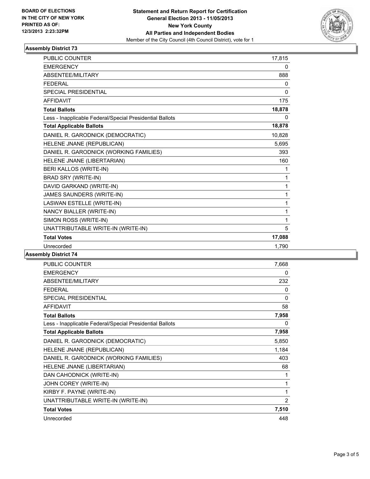

#### **Assembly District 73**

| <b>PUBLIC COUNTER</b>                                    | 17,815   |
|----------------------------------------------------------|----------|
| <b>EMERGENCY</b>                                         | 0        |
| ABSENTEE/MILITARY                                        | 888      |
| <b>FFDFRAI</b>                                           | 0        |
| SPECIAL PRESIDENTIAL                                     | $\Omega$ |
| <b>AFFIDAVIT</b>                                         | 175      |
| <b>Total Ballots</b>                                     | 18,878   |
| Less - Inapplicable Federal/Special Presidential Ballots | 0        |
| <b>Total Applicable Ballots</b>                          | 18,878   |
| DANIEL R. GARODNICK (DEMOCRATIC)                         | 10,828   |
| HELENE JNANE (REPUBLICAN)                                | 5,695    |
| DANIEL R. GARODNICK (WORKING FAMILIES)                   | 393      |
| HELENE JNANE (LIBERTARIAN)                               | 160      |
| BERI KALLOS (WRITE-IN)                                   | 1        |
| BRAD SRY (WRITE-IN)                                      | 1        |
| DAVID GARKAND (WRITE-IN)                                 | 1        |
| JAMES SAUNDERS (WRITE-IN)                                | 1        |
| LASWAN ESTELLE (WRITE-IN)                                | 1        |
| NANCY BIALLER (WRITE-IN)                                 | 1        |
| SIMON ROSS (WRITE-IN)                                    | 1        |
| UNATTRIBUTABLE WRITE-IN (WRITE-IN)                       | 5        |
| <b>Total Votes</b>                                       | 17,088   |
| Unrecorded                                               | 1,790    |

#### **Assembly District 74**

| <b>PUBLIC COUNTER</b>                                    | 7,668        |
|----------------------------------------------------------|--------------|
| <b>EMERGENCY</b>                                         | 0            |
| ABSENTEE/MILITARY                                        | 232          |
| <b>FEDERAL</b>                                           | 0            |
| <b>SPECIAL PRESIDENTIAL</b>                              | $\mathbf{0}$ |
| <b>AFFIDAVIT</b>                                         | 58           |
| <b>Total Ballots</b>                                     | 7,958        |
| Less - Inapplicable Federal/Special Presidential Ballots | 0            |
| <b>Total Applicable Ballots</b>                          | 7,958        |
| DANIEL R. GARODNICK (DEMOCRATIC)                         | 5,850        |
| HELENE JNANE (REPUBLICAN)                                | 1,184        |
| DANIEL R. GARODNICK (WORKING FAMILIES)                   | 403          |
| HELENE JNANE (LIBERTARIAN)                               | 68           |
| DAN CAHODNICK (WRITE-IN)                                 | 1            |
| JOHN COREY (WRITE-IN)                                    | 1            |
| KIRBY F. PAYNE (WRITE-IN)                                | 1            |
| UNATTRIBUTABLE WRITE-IN (WRITE-IN)                       | 2            |
| <b>Total Votes</b>                                       | 7,510        |
| Unrecorded                                               | 448          |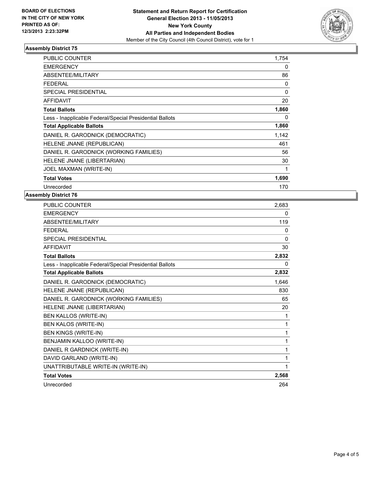

### **Assembly District 75**

| <b>PUBLIC COUNTER</b>                                    | 1,754        |
|----------------------------------------------------------|--------------|
| <b>EMERGENCY</b>                                         | 0            |
| <b>ABSENTEE/MILITARY</b>                                 | 86           |
| <b>FEDERAL</b>                                           | 0            |
| <b>SPECIAL PRESIDENTIAL</b>                              | $\mathbf{0}$ |
| <b>AFFIDAVIT</b>                                         | 20           |
| <b>Total Ballots</b>                                     | 1,860        |
| Less - Inapplicable Federal/Special Presidential Ballots | 0            |
| <b>Total Applicable Ballots</b>                          | 1,860        |
| DANIEL R. GARODNICK (DEMOCRATIC)                         | 1,142        |
| HELENE JNANE (REPUBLICAN)                                | 461          |
| DANIEL R. GARODNICK (WORKING FAMILIES)                   | 56           |
| HELENE JNANE (LIBERTARIAN)                               | 30           |
| JOEL MAXMAN (WRITE-IN)                                   | 1            |
| <b>Total Votes</b>                                       | 1,690        |
| Unrecorded                                               | 170          |

#### **Assembly District 76**

| <b>PUBLIC COUNTER</b>                                    | 2,683    |
|----------------------------------------------------------|----------|
| <b>EMERGENCY</b>                                         | 0        |
| ABSENTEE/MILITARY                                        | 119      |
| <b>FEDERAL</b>                                           | 0        |
| SPECIAL PRESIDENTIAL                                     | $\Omega$ |
| <b>AFFIDAVIT</b>                                         | 30       |
| <b>Total Ballots</b>                                     | 2,832    |
| Less - Inapplicable Federal/Special Presidential Ballots | 0        |
| <b>Total Applicable Ballots</b>                          | 2,832    |
| DANIEL R. GARODNICK (DEMOCRATIC)                         | 1,646    |
| HELENE JNANE (REPUBLICAN)                                | 830      |
| DANIEL R. GARODNICK (WORKING FAMILIES)                   | 65       |
| HELENE JNANE (LIBERTARIAN)                               | 20       |
| BEN KALLOS (WRITE-IN)                                    | 1        |
| <b>BEN KALOS (WRITE-IN)</b>                              | 1        |
| <b>BEN KINGS (WRITE-IN)</b>                              | 1        |
| BENJAMIN KALLOO (WRITE-IN)                               | 1        |
| DANIEL R GARDNICK (WRITE-IN)                             | 1        |
| DAVID GARLAND (WRITE-IN)                                 | 1        |
| UNATTRIBUTABLE WRITE-IN (WRITE-IN)                       | 1        |
| <b>Total Votes</b>                                       | 2,568    |
| Unrecorded                                               | 264      |